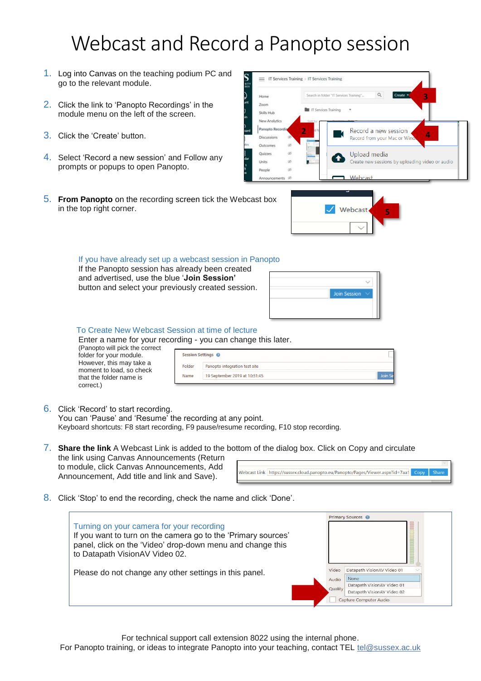# Webcast and Record a Panopto session

- 1. Log into Canvas on the teaching podium PC and go to the relevant module.
- 2. Click the link to 'Panopto Recordings' in the module menu on the left of the screen.
- 3. Click the 'Create' button.
- 4. Select 'Record a new session' and Follow any prompts or popups to open Panopto.



5. **From Panopto** on the recording screen tick the Webcast box in the top right corner.



#### If you have already set up a webcast session in Panopto

If the Panopto session has already been created and advertised, use the blue '**Join Session'** button and select your previously created session.



### To Create New Webcast Session at time of lecture

Enter a name for your recording - you can change this later. (Panopto will pick

| (Panopto will pick the correct<br>folder for your module. |        | Session Settings @            |         |
|-----------------------------------------------------------|--------|-------------------------------|---------|
| However, this may take a<br>moment to load, so check      | Folder | Panopto integration test site |         |
| that the folder name is                                   | Name   | 19 September 2019 at 10:51:45 | Join Se |
| $\sim$ $\sim$ $\sim$ $\sim$ $\sim$ $\sim$ $\sim$ $\sim$   |        |                               |         |

6. Click 'Record' to start recording.

correct.)

You can 'Pause' and 'Resume' the recording at any point. Keyboard shortcuts: F8 start recording, F9 pause/resume recording, F10 stop recording.

- 7. **Share the link** A Webcast Link is added to the bottom of the dialog box. Click on Copy and circulate the link using Canvas Announcements (Return to module, click Canvas Announcements, Add Webcast Link https://sussex.cloud.panopto.eu/Panopto/Pages/Viewer.aspx?id=7aa1 Copy Announcement, Add title and link and Save).
- 8. Click 'Stop' to end the recording, check the name and click 'Done'.

| Turning on your camera for your recording<br>If you want to turn on the camera go to the 'Primary sources'<br>panel, click on the 'Video' drop-down menu and change this<br>to Datapath VisionAV Video 02. |                           | Primary Sources @                                                                                                        |
|------------------------------------------------------------------------------------------------------------------------------------------------------------------------------------------------------------|---------------------------|--------------------------------------------------------------------------------------------------------------------------|
| Please do not change any other settings in this panel.                                                                                                                                                     | Video<br>Audio<br>Quality | Datapath VisionAV Video 01<br>None<br>Datapath VisionAV Video 01<br>Datapath VisionAV Video 02<br>Capture Computer Audio |

For technical support call extension 8022 using the internal phone.

For Panopto training, or ideas to integrate Panopto into your teaching, contact TEL tel@sussex.ac.uk